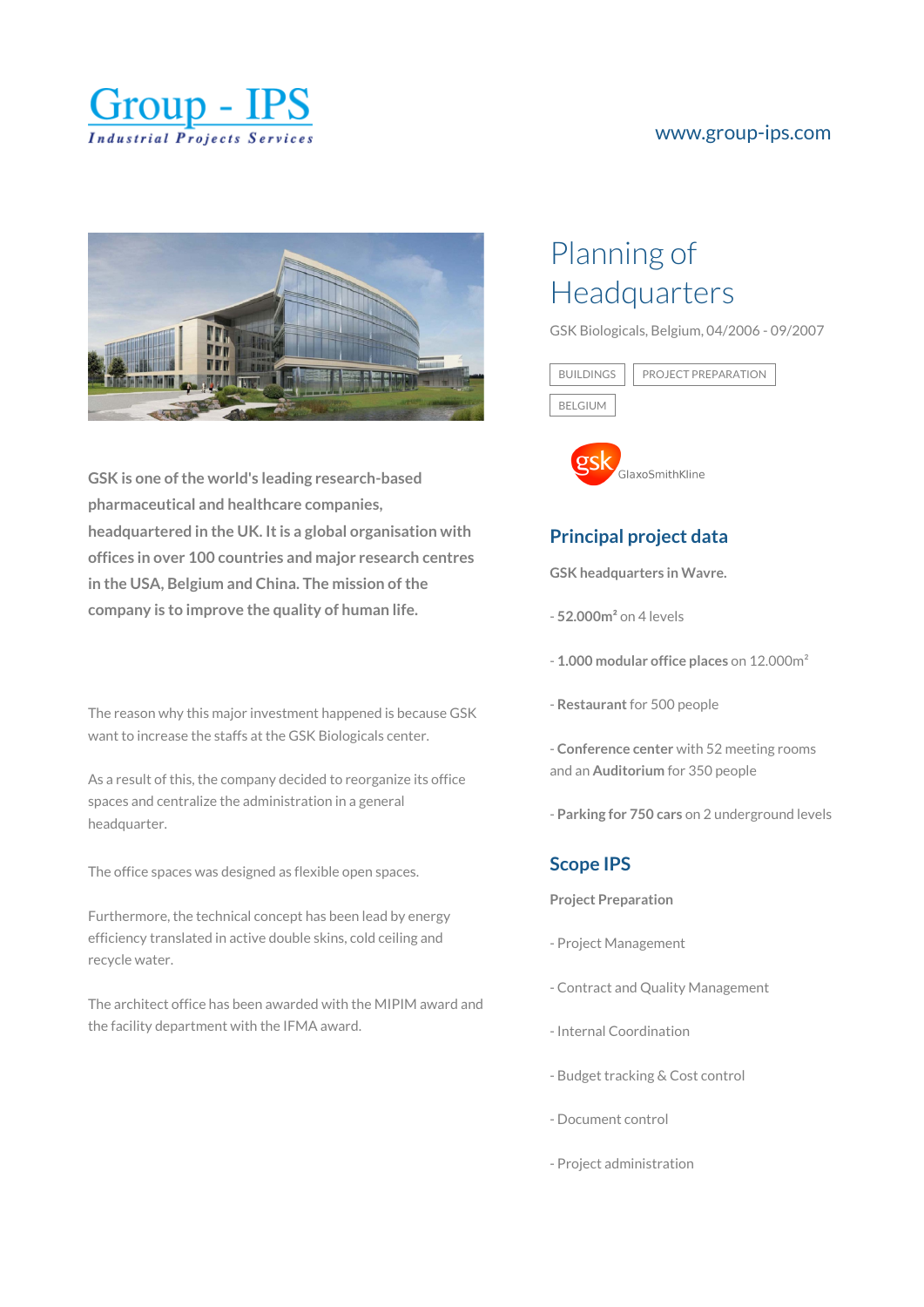

#### [www.group-ips.com](https://www.group-ips.com/)



**GSK is one of the world's leading research-based pharmaceutical and healthcare companies, headquartered in the UK. It is a global organisation with offices in over 100 countries and major research centres in the USA, Belgium and China. The mission of the company is to improve the quality of human life.**

The reason why this major investment happened is because GSK want to increase the staffs at the GSK Biologicals center.

As a result of this, the company decided to reorganize its office spaces and centralize the administration in a general headquarter.

The office spaces was designed as flexible open spaces.

Furthermore, the technical concept has been lead by energy efficiency translated in active double skins, cold ceiling and recycle water.

The architect office has been awarded with the MIPIM award and the facility department with the IFMA award.

# Planning of Headquarters

GSK Biologicals, Belgium, 04/2006 - 09/2007





### **Principal project data**

**GSK headquarters in Wavre.**

- **52.000m²** on 4 levels
- **1.000 modular office places** on 12.000m²
- **Restaurant** for 500 people
- **Conference center** with 52 meeting rooms and an **Auditorium** for 350 people
- **Parking for 750 cars** on 2 underground levels

#### **Scope IPS**

**Project Preparation**

- Project Management
- Contract and Quality Management
- Internal Coordination
- Budget tracking & Cost control
- Document control
- Project administration